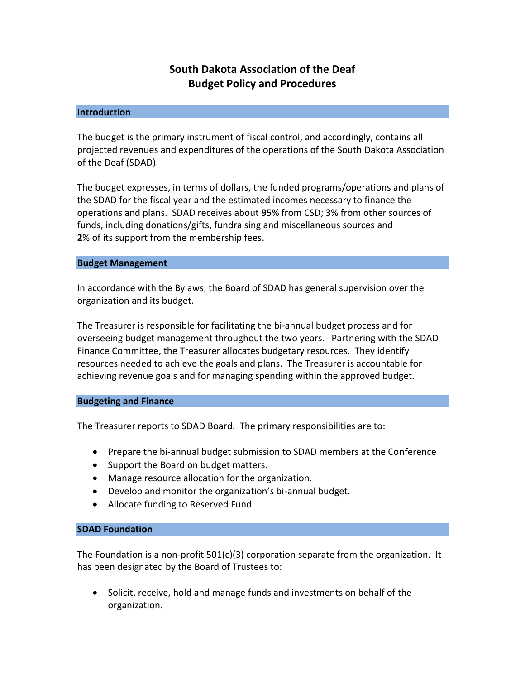# **South Dakota Association of the Deaf Budget Policy and Procedures**

### **Introduction**

The budget is the primary instrument of fiscal control, and accordingly, contains all projected revenues and expenditures of the operations of the South Dakota Association of the Deaf (SDAD).

The budget expresses, in terms of dollars, the funded programs/operations and plans of the SDAD for the fiscal year and the estimated incomes necessary to finance the operations and plans. SDAD receives about **95**% from CSD; **3**% from other sources of funds, including donations/gifts, fundraising and miscellaneous sources and **2**% of its support from the membership fees.

### **Budget Management**

In accordance with the Bylaws, the Board of SDAD has general supervision over the organization and its budget.

The Treasurer is responsible for facilitating the bi-annual budget process and for overseeing budget management throughout the two years. Partnering with the SDAD Finance Committee, the Treasurer allocates budgetary resources. They identify resources needed to achieve the goals and plans. The Treasurer is accountable for achieving revenue goals and for managing spending within the approved budget.

## **Budgeting and Finance**

The Treasurer reports to SDAD Board. The primary responsibilities are to:

- Prepare the bi-annual budget submission to SDAD members at the Conference
- Support the Board on budget matters.
- Manage resource allocation for the organization.
- Develop and monitor the organization's bi-annual budget.
- Allocate funding to Reserved Fund

### **SDAD Foundation**

The Foundation is a non-profit  $501(c)(3)$  corporation separate from the organization. It has been designated by the Board of Trustees to:

• Solicit, receive, hold and manage funds and investments on behalf of the organization.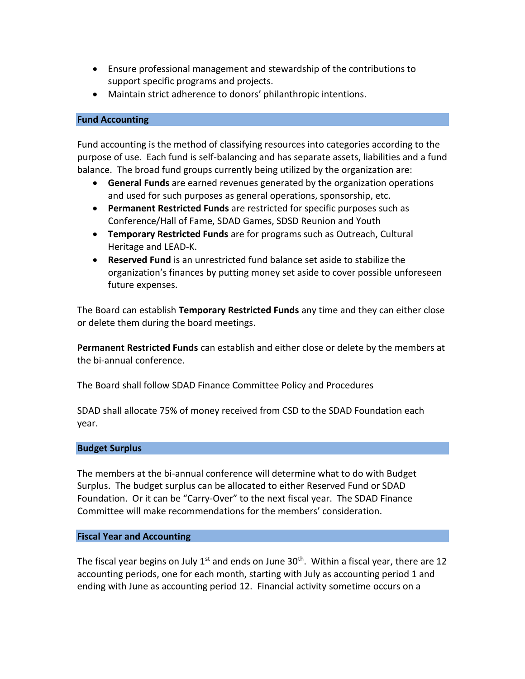- Ensure professional management and stewardship of the contributions to support specific programs and projects.
- Maintain strict adherence to donors' philanthropic intentions.

# **Fund Accounting**

Fund accounting is the method of classifying resources into categories according to the purpose of use. Each fund is self-balancing and has separate assets, liabilities and a fund balance. The broad fund groups currently being utilized by the organization are:

- **General Funds** are earned revenues generated by the organization operations and used for such purposes as general operations, sponsorship, etc.
- **Permanent Restricted Funds** are restricted for specific purposes such as Conference/Hall of Fame, SDAD Games, SDSD Reunion and Youth
- **Temporary Restricted Funds** are for programs such as Outreach, Cultural Heritage and LEAD-K.
- **Reserved Fund** is an unrestricted fund balance set aside to stabilize the organization's finances by putting money set aside to cover possible unforeseen future expenses.

The Board can establish **Temporary Restricted Funds** any time and they can either close or delete them during the board meetings.

**Permanent Restricted Funds** can establish and either close or delete by the members at the bi-annual conference.

The Board shall follow SDAD Finance Committee Policy and Procedures

SDAD shall allocate 75% of money received from CSD to the SDAD Foundation each year.

# **Budget Surplus**

The members at the bi-annual conference will determine what to do with Budget Surplus. The budget surplus can be allocated to either Reserved Fund or SDAD Foundation. Or it can be "Carry-Over" to the next fiscal year. The SDAD Finance Committee will make recommendations for the members' consideration.

## **Fiscal Year and Accounting**

The fiscal year begins on July  $1<sup>st</sup>$  and ends on June 30<sup>th</sup>. Within a fiscal year, there are 12 accounting periods, one for each month, starting with July as accounting period 1 and ending with June as accounting period 12. Financial activity sometime occurs on a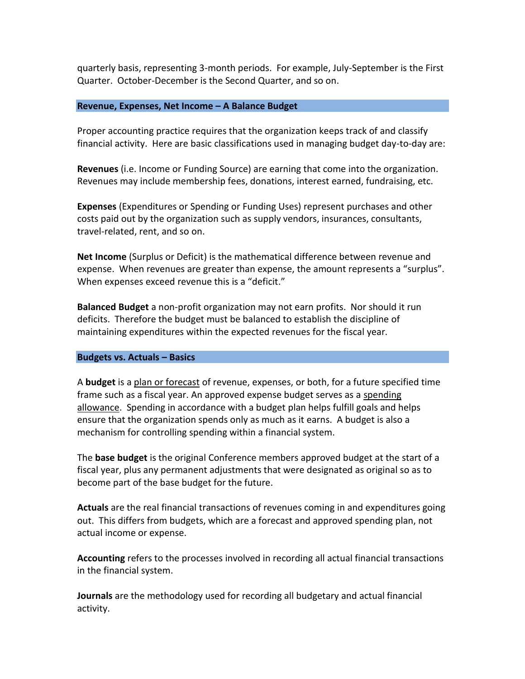quarterly basis, representing 3-month periods. For example, July-September is the First Quarter. October-December is the Second Quarter, and so on.

### **Revenue, Expenses, Net Income – A Balance Budget**

Proper accounting practice requires that the organization keeps track of and classify financial activity. Here are basic classifications used in managing budget day-to-day are:

**Revenues** (i.e. Income or Funding Source) are earning that come into the organization. Revenues may include membership fees, donations, interest earned, fundraising, etc.

**Expenses** (Expenditures or Spending or Funding Uses) represent purchases and other costs paid out by the organization such as supply vendors, insurances, consultants, travel-related, rent, and so on.

**Net Income** (Surplus or Deficit) is the mathematical difference between revenue and expense. When revenues are greater than expense, the amount represents a "surplus". When expenses exceed revenue this is a "deficit."

**Balanced Budget** a non-profit organization may not earn profits. Nor should it run deficits. Therefore the budget must be balanced to establish the discipline of maintaining expenditures within the expected revenues for the fiscal year.

### **Budgets vs. Actuals – Basics**

A **budget** is a plan or forecast of revenue, expenses, or both, for a future specified time frame such as a fiscal year. An approved expense budget serves as a spending allowance. Spending in accordance with a budget plan helps fulfill goals and helps ensure that the organization spends only as much as it earns. A budget is also a mechanism for controlling spending within a financial system.

The **base budget** is the original Conference members approved budget at the start of a fiscal year, plus any permanent adjustments that were designated as original so as to become part of the base budget for the future.

**Actuals** are the real financial transactions of revenues coming in and expenditures going out. This differs from budgets, which are a forecast and approved spending plan, not actual income or expense.

**Accounting** refers to the processes involved in recording all actual financial transactions in the financial system.

**Journals** are the methodology used for recording all budgetary and actual financial activity.